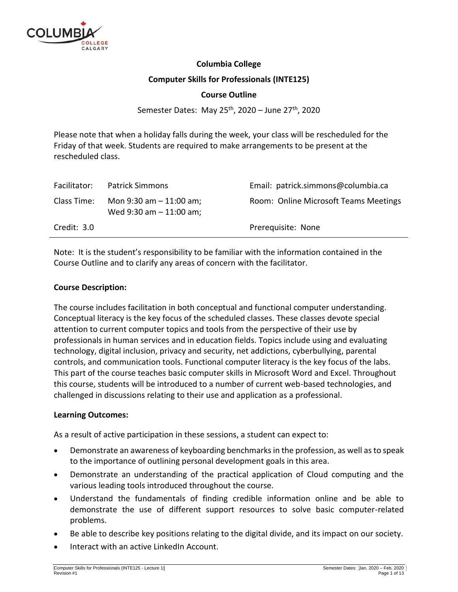

# **Columbia College**

# **Computer Skills for Professionals (INTE125)**

# **Course Outline**

Semester Dates: May 25<sup>th</sup>, 2020 – June 27<sup>th</sup>, 2020

Please note that when a holiday falls during the week, your class will be rescheduled for the Friday of that week. Students are required to make arrangements to be present at the rescheduled class.

| Facilitator: | <b>Patrick Simmons</b>                                   | Email: patrick.simmons@columbia.ca    |
|--------------|----------------------------------------------------------|---------------------------------------|
| Class Time:  | Mon $9:30$ am $-11:00$ am;<br>Wed $9:30$ am $-11:00$ am; | Room: Online Microsoft Teams Meetings |
| Credit: 3.0  |                                                          | Prerequisite: None                    |

Note: It is the student's responsibility to be familiar with the information contained in the Course Outline and to clarify any areas of concern with the facilitator.

#### **Course Description:**

The course includes facilitation in both conceptual and functional computer understanding. Conceptual literacy is the key focus of the scheduled classes. These classes devote special attention to current computer topics and tools from the perspective of their use by professionals in human services and in education fields. Topics include using and evaluating technology, digital inclusion, privacy and security, net addictions, cyberbullying, parental controls, and communication tools. Functional computer literacy is the key focus of the labs. This part of the course teaches basic computer skills in Microsoft Word and Excel. Throughout this course, students will be introduced to a number of current web-based technologies, and challenged in discussions relating to their use and application as a professional.

# **Learning Outcomes:**

As a result of active participation in these sessions, a student can expect to:

- Demonstrate an awareness of keyboarding benchmarks in the profession, as well as to speak to the importance of outlining personal development goals in this area.
- Demonstrate an understanding of the practical application of Cloud computing and the various leading tools introduced throughout the course.
- Understand the fundamentals of finding credible information online and be able to demonstrate the use of different support resources to solve basic computer-related problems.
- Be able to describe key positions relating to the digital divide, and its impact on our society.
- Interact with an active LinkedIn Account.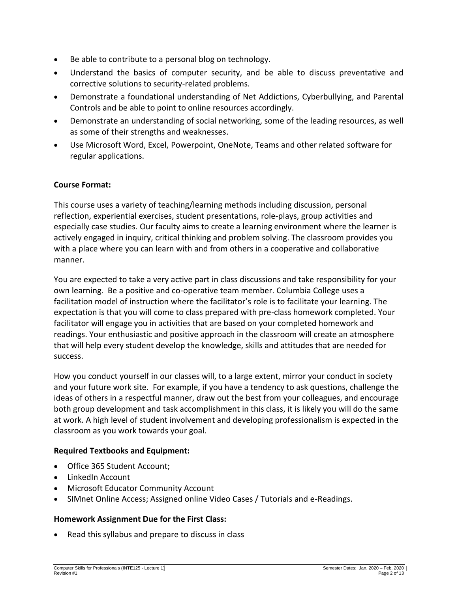- Be able to contribute to a personal blog on technology.
- Understand the basics of computer security, and be able to discuss preventative and corrective solutions to security-related problems.
- Demonstrate a foundational understanding of Net Addictions, Cyberbullying, and Parental Controls and be able to point to online resources accordingly.
- Demonstrate an understanding of social networking, some of the leading resources, as well as some of their strengths and weaknesses.
- Use Microsoft Word, Excel, Powerpoint, OneNote, Teams and other related software for regular applications.

# **Course Format:**

This course uses a variety of teaching/learning methods including discussion, personal reflection, experiential exercises, student presentations, role-plays, group activities and especially case studies. Our faculty aims to create a learning environment where the learner is actively engaged in inquiry, critical thinking and problem solving. The classroom provides you with a place where you can learn with and from others in a cooperative and collaborative manner.

You are expected to take a very active part in class discussions and take responsibility for your own learning. Be a positive and co-operative team member. Columbia College uses a facilitation model of instruction where the facilitator's role is to facilitate your learning. The expectation is that you will come to class prepared with pre-class homework completed. Your facilitator will engage you in activities that are based on your completed homework and readings. Your enthusiastic and positive approach in the classroom will create an atmosphere that will help every student develop the knowledge, skills and attitudes that are needed for success.

How you conduct yourself in our classes will, to a large extent, mirror your conduct in society and your future work site. For example, if you have a tendency to ask questions, challenge the ideas of others in a respectful manner, draw out the best from your colleagues, and encourage both group development and task accomplishment in this class, it is likely you will do the same at work. A high level of student involvement and developing professionalism is expected in the classroom as you work towards your goal.

# **Required Textbooks and Equipment:**

- Office 365 Student Account;
- LinkedIn Account
- Microsoft Educator Community Account
- SIMnet Online Access; Assigned online Video Cases / Tutorials and e-Readings.

# **Homework Assignment Due for the First Class:**

Read this syllabus and prepare to discuss in class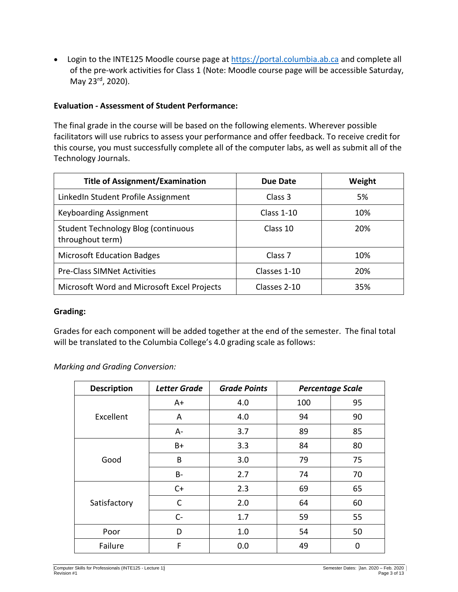• Login to the INTE125 Moodle course page at [https://portal.columbia.ab.ca](https://portal.columbia.ab.ca/) and complete all of the pre-work activities for Class 1 (Note: Moodle course page will be accessible Saturday, May 23rd, 2020).

# **Evaluation - Assessment of Student Performance:**

The final grade in the course will be based on the following elements. Wherever possible facilitators will use rubrics to assess your performance and offer feedback. To receive credit for this course, you must successfully complete all of the computer labs, as well as submit all of the Technology Journals.

| <b>Title of Assignment/Examination</b>                  | Due Date           | Weight |
|---------------------------------------------------------|--------------------|--------|
| LinkedIn Student Profile Assignment                     | Class 3            | 5%     |
| <b>Keyboarding Assignment</b>                           | Class $1-10$       | 10%    |
| Student Technology Blog (continuous<br>throughout term) | Class 10           | 20%    |
| <b>Microsoft Education Badges</b>                       | Class <sub>7</sub> | 10%    |
| <b>Pre-Class SIMNet Activities</b>                      | Classes 1-10       | 20%    |
| Microsoft Word and Microsoft Excel Projects             | Classes 2-10       | 35%    |

# **Grading:**

Grades for each component will be added together at the end of the semester. The final total will be translated to the Columbia College's 4.0 grading scale as follows:

*Marking and Grading Conversion:*

| <b>Description</b> | <b>Letter Grade</b> | <b>Grade Points</b> |     | <b>Percentage Scale</b> |
|--------------------|---------------------|---------------------|-----|-------------------------|
|                    | A+                  | 4.0                 | 100 | 95                      |
| Excellent          | A                   | 4.0                 | 94  | 90                      |
|                    | A-                  | 3.7                 | 89  | 85                      |
|                    | $B+$                | 3.3                 | 84  | 80                      |
| Good               | B                   | 3.0                 | 79  | 75                      |
|                    | <b>B-</b>           | 2.7                 | 74  | 70                      |
|                    | $C+$                | 2.3                 | 69  | 65                      |
| Satisfactory       | C                   | 2.0                 | 64  | 60                      |
|                    | $C-$                | 1.7                 | 59  | 55                      |
| Poor               | D                   | 1.0                 | 54  | 50                      |
| Failure            | F                   | 0.0                 | 49  | 0                       |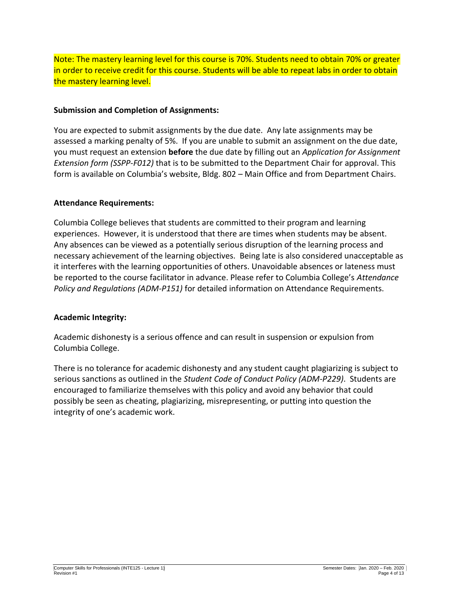Note: The mastery learning level for this course is 70%. Students need to obtain 70% or greater in order to receive credit for this course. Students will be able to repeat labs in order to obtain the mastery learning level.

# **Submission and Completion of Assignments:**

You are expected to submit assignments by the due date. Any late assignments may be assessed a marking penalty of 5%. If you are unable to submit an assignment on the due date, you must request an extension **before** the due date by filling out an *Application for Assignment Extension form (SSPP-F012)* that is to be submitted to the Department Chair for approval. This form is available on Columbia's website, Bldg. 802 – Main Office and from Department Chairs.

# **Attendance Requirements:**

Columbia College believes that students are committed to their program and learning experiences. However, it is understood that there are times when students may be absent. Any absences can be viewed as a potentially serious disruption of the learning process and necessary achievement of the learning objectives. Being late is also considered unacceptable as it interferes with the learning opportunities of others. Unavoidable absences or lateness must be reported to the course facilitator in advance. Please refer to Columbia College's *Attendance Policy and Regulations (ADM-P151)* for detailed information on Attendance Requirements.

# **Academic Integrity:**

Academic dishonesty is a serious offence and can result in suspension or expulsion from Columbia College.

There is no tolerance for academic dishonesty and any student caught plagiarizing is subject to serious sanctions as outlined in the *Student Code of Conduct Policy (ADM-P229)*. Students are encouraged to familiarize themselves with this policy and avoid any behavior that could possibly be seen as cheating, plagiarizing, misrepresenting, or putting into question the integrity of one's academic work.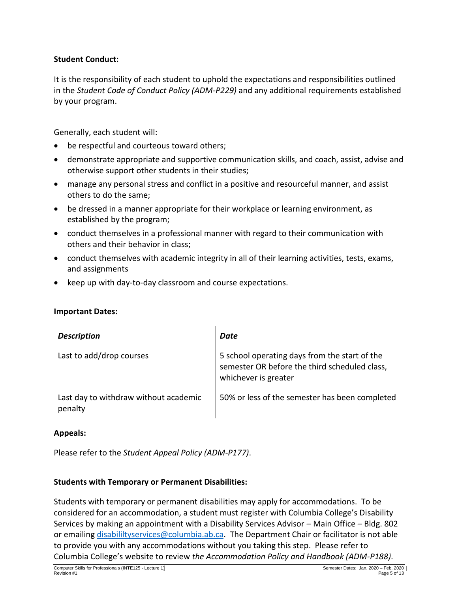# **Student Conduct:**

It is the responsibility of each student to uphold the expectations and responsibilities outlined in the *Student Code of Conduct Policy (ADM-P229)* and any additional requirements established by your program.

Generally, each student will:

- be respectful and courteous toward others;
- demonstrate appropriate and supportive communication skills, and coach, assist, advise and otherwise support other students in their studies;
- manage any personal stress and conflict in a positive and resourceful manner, and assist others to do the same;
- be dressed in a manner appropriate for their workplace or learning environment, as established by the program;
- conduct themselves in a professional manner with regard to their communication with others and their behavior in class;
- conduct themselves with academic integrity in all of their learning activities, tests, exams, and assignments
- keep up with day-to-day classroom and course expectations.

# **Important Dates:**

| <b>Description</b>                               | Date                                                                                                                   |
|--------------------------------------------------|------------------------------------------------------------------------------------------------------------------------|
| Last to add/drop courses                         | 5 school operating days from the start of the<br>semester OR before the third scheduled class,<br>whichever is greater |
| Last day to withdraw without academic<br>penalty | 50% or less of the semester has been completed                                                                         |

# **Appeals:**

Please refer to the *Student Appeal Policy (ADM-P177)*.

# **Students with Temporary or Permanent Disabilities:**

Students with temporary or permanent disabilities may apply for accommodations. To be considered for an accommodation, a student must register with Columbia College's Disability Services by making an appointment with a Disability Services Advisor – Main Office – Bldg. 802 or emailing [disabililtyservices@columbia.ab.ca.](mailto:disabililtyservices@columbia.ab.ca) The Department Chair or facilitator is not able to provide you with any accommodations without you taking this step. Please refer to Columbia College's website to review *the Accommodation Policy and Handbook (ADM-P188)*.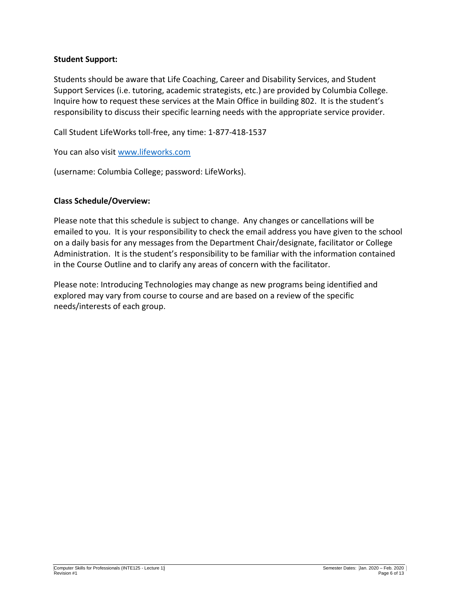# **Student Support:**

Students should be aware that Life Coaching, Career and Disability Services, and Student Support Services (i.e. tutoring, academic strategists, etc.) are provided by Columbia College. Inquire how to request these services at the Main Office in building 802. It is the student's responsibility to discuss their specific learning needs with the appropriate service provider.

Call Student LifeWorks toll-free, any time: 1-877-418-1537

You can also visit [www.lifeworks.com](http://www.lifeworks.com/)

(username: Columbia College; password: LifeWorks).

# **Class Schedule/Overview:**

Please note that this schedule is subject to change. Any changes or cancellations will be emailed to you. It is your responsibility to check the email address you have given to the school on a daily basis for any messages from the Department Chair/designate, facilitator or College Administration. It is the student's responsibility to be familiar with the information contained in the Course Outline and to clarify any areas of concern with the facilitator.

Please note: Introducing Technologies may change as new programs being identified and explored may vary from course to course and are based on a review of the specific needs/interests of each group.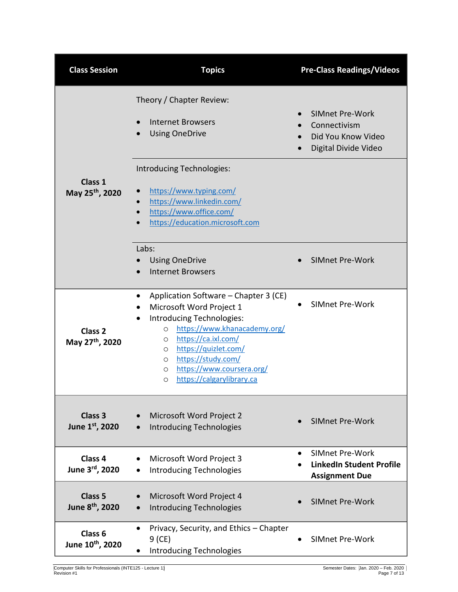| <b>Class Session</b>                              | <b>Topics</b>                                                                                                                                                                                                                                                                                                                        | <b>Pre-Class Readings/Videos</b>                                                   |
|---------------------------------------------------|--------------------------------------------------------------------------------------------------------------------------------------------------------------------------------------------------------------------------------------------------------------------------------------------------------------------------------------|------------------------------------------------------------------------------------|
|                                                   | Theory / Chapter Review:<br>Internet Browsers<br><b>Using OneDrive</b>                                                                                                                                                                                                                                                               | SIMnet Pre-Work<br>Connectivism<br>Did You Know Video<br>Digital Divide Video      |
| Class 1<br>May 25 <sup>th</sup> , 2020            | Introducing Technologies:<br>https://www.typing.com/<br>https://www.linkedin.com/<br>https://www.office.com/<br>$\bullet$<br>https://education.microsoft.com                                                                                                                                                                         |                                                                                    |
|                                                   | Labs:<br><b>Using OneDrive</b><br><b>Internet Browsers</b>                                                                                                                                                                                                                                                                           | <b>SIMnet Pre-Work</b>                                                             |
| Class <sub>2</sub><br>May 27 <sup>th</sup> , 2020 | Application Software - Chapter 3 (CE)<br>٠<br>Microsoft Word Project 1<br>Introducing Technologies:<br>https://www.khanacademy.org/<br>$\circ$<br>https://ca.ixl.com/<br>$\circ$<br>https://quizlet.com/<br>$\circ$<br>https://study.com/<br>$\circ$<br>https://www.coursera.org/<br>$\circ$<br>https://calgarylibrary.ca<br>$\circ$ | <b>SIMnet Pre-Work</b>                                                             |
| Class 3<br>June 1st, 2020                         | Microsoft Word Project 2<br><b>Introducing Technologies</b>                                                                                                                                                                                                                                                                          | <b>SIMnet Pre-Work</b>                                                             |
| Class 4<br>June 3rd, 2020                         | Microsoft Word Project 3<br><b>Introducing Technologies</b>                                                                                                                                                                                                                                                                          | <b>SIMnet Pre-Work</b><br><b>LinkedIn Student Profile</b><br><b>Assignment Due</b> |
| Class <sub>5</sub><br>June 8th, 2020              | Microsoft Word Project 4<br><b>Introducing Technologies</b>                                                                                                                                                                                                                                                                          | <b>SIMnet Pre-Work</b>                                                             |
| Class <sub>6</sub><br>June 10th, 2020             | Privacy, Security, and Ethics - Chapter<br>$9$ (CE)<br><b>Introducing Technologies</b>                                                                                                                                                                                                                                               | <b>SIMnet Pre-Work</b>                                                             |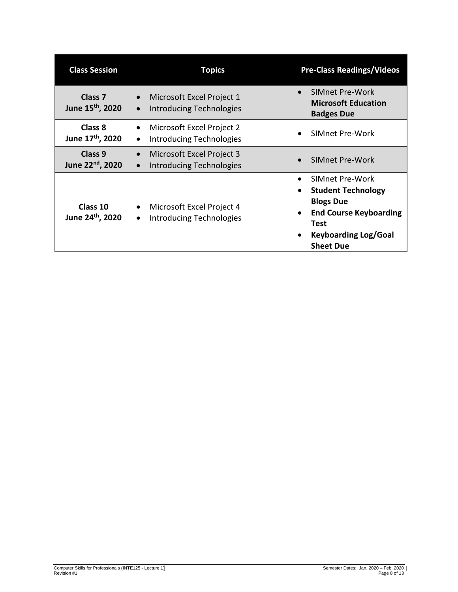| <b>Class Session</b>                               | <b>Topics</b>                                                                          | <b>Pre-Class Readings/Videos</b>                                                                                                                                          |
|----------------------------------------------------|----------------------------------------------------------------------------------------|---------------------------------------------------------------------------------------------------------------------------------------------------------------------------|
| Class <sub>7</sub><br>June 15 <sup>th</sup> , 2020 | Microsoft Excel Project 1<br>$\bullet$<br><b>Introducing Technologies</b><br>$\bullet$ | SIMnet Pre-Work<br><b>Microsoft Education</b><br><b>Badges Due</b>                                                                                                        |
| Class 8<br>June 17 <sup>th</sup> , 2020            | Microsoft Excel Project 2<br>Introducing Technologies                                  | SIMnet Pre-Work                                                                                                                                                           |
| Class 9<br>June 22nd, 2020                         | Microsoft Excel Project 3<br>$\bullet$<br><b>Introducing Technologies</b>              | <b>SIMnet Pre-Work</b>                                                                                                                                                    |
| Class 10<br>June 24th, 2020                        | Microsoft Excel Project 4<br><b>Introducing Technologies</b><br>$\bullet$              | SIMnet Pre-Work<br><b>Student Technology</b><br><b>Blogs Due</b><br><b>End Course Keyboarding</b><br>Test<br><b>Keyboarding Log/Goal</b><br>$\bullet$<br><b>Sheet Due</b> |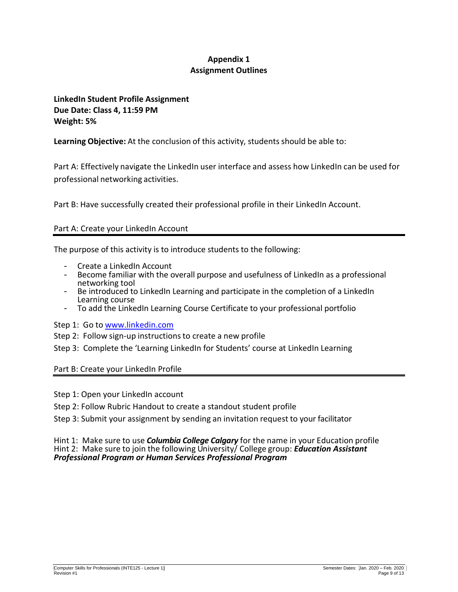# **Appendix 1 Assignment Outlines**

**LinkedIn Student Profile Assignment Due Date: Class 4, 11:59 PM Weight: 5%**

**Learning Objective:** At the conclusion of this activity, students should be able to:

Part A: Effectively navigate the LinkedIn user interface and assess how LinkedIn can be used for professional networking activities.

Part B: Have successfully created their professional profile in their LinkedIn Account.

# Part A: Create your LinkedIn Account

The purpose of this activity is to introduce students to the following:

- Create a LinkedIn Account
- Become familiar with the overall purpose and usefulness of LinkedIn as a professional networking tool
- Be introduced to LinkedIn Learning and participate in the completion of a LinkedIn Learning course
- To add the LinkedIn Learning Course Certificate to your professional portfolio

Step 1: Go to [www.linkedin.com](http://www.linkedin.com/)

- Step 2: Follow sign-up instructions to create a new profile
- Step 3: Complete the 'Learning LinkedIn for Students' course at LinkedIn Learning

Part B: Create your LinkedIn Profile

- Step 1: Open your LinkedIn account
- Step 2: Follow Rubric Handout to create a standout student profile
- Step 3: Submit your assignment by sending an invitation request to your facilitator

#### Hint 1: Make sure to use *Columbia College Calgary* for the name in your Education profile Hint 2: Make sure to join the following University/ College group: *Education Assistant Professional Program or Human Services Professional Program*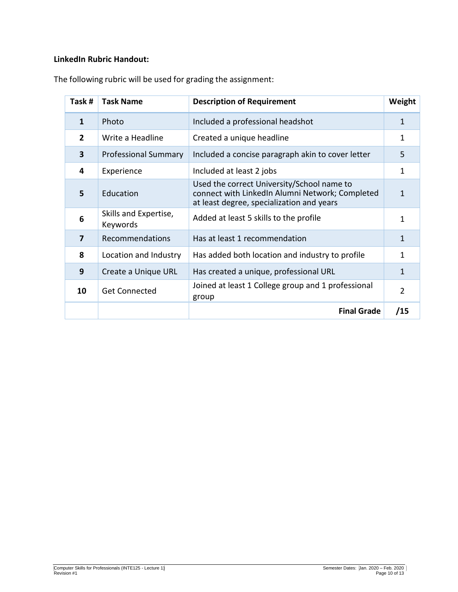# **LinkedIn Rubric Handout:**

| Task#          | <b>Task Name</b>                  | <b>Description of Requirement</b>                                                                                                          | Weight         |
|----------------|-----------------------------------|--------------------------------------------------------------------------------------------------------------------------------------------|----------------|
| 1              | Photo                             | Included a professional headshot                                                                                                           | 1              |
| $\overline{2}$ | Write a Headline                  | Created a unique headline                                                                                                                  | 1              |
| 3              | <b>Professional Summary</b>       | Included a concise paragraph akin to cover letter                                                                                          | 5              |
| 4              | Experience                        | Included at least 2 jobs                                                                                                                   | 1              |
| 5              | Education                         | Used the correct University/School name to<br>connect with LinkedIn Alumni Network; Completed<br>at least degree, specialization and years | 1              |
| 6              | Skills and Expertise,<br>Keywords | Added at least 5 skills to the profile                                                                                                     | 1              |
| 7              | Recommendations                   | Has at least 1 recommendation                                                                                                              | 1              |
| 8              | Location and Industry             | Has added both location and industry to profile                                                                                            | 1              |
| 9              | Create a Unique URL               | Has created a unique, professional URL                                                                                                     | 1              |
| 10             | <b>Get Connected</b>              | Joined at least 1 College group and 1 professional<br>group                                                                                | $\overline{2}$ |
|                |                                   | <b>Final Grade</b>                                                                                                                         | /15            |

The following rubric will be used for grading the assignment: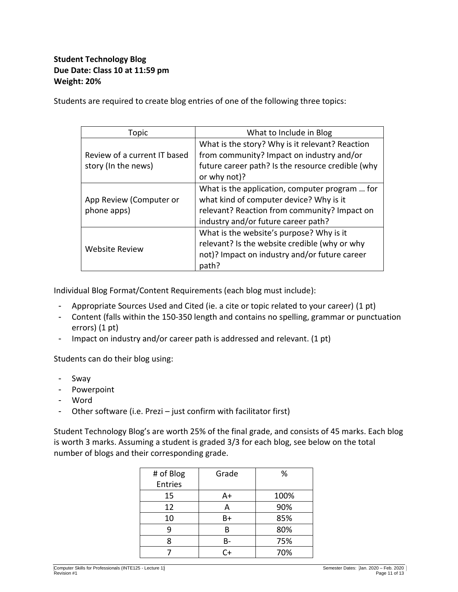# **Student Technology Blog Due Date: Class 10 at 11:59 pm Weight: 20%**

Students are required to create blog entries of one of the following three topics:

| Topic                        | What to Include in Blog                           |
|------------------------------|---------------------------------------------------|
|                              | What is the story? Why is it relevant? Reaction   |
| Review of a current IT based | from community? Impact on industry and/or         |
| story (In the news)          | future career path? Is the resource credible (why |
|                              | or why not)?                                      |
|                              | What is the application, computer program  for    |
| App Review (Computer or      | what kind of computer device? Why is it           |
| phone apps)                  | relevant? Reaction from community? Impact on      |
|                              | industry and/or future career path?               |
|                              | What is the website's purpose? Why is it          |
| <b>Website Review</b>        | relevant? Is the website credible (why or why     |
|                              | not)? Impact on industry and/or future career     |
|                              | path?                                             |

Individual Blog Format/Content Requirements (each blog must include):

- Appropriate Sources Used and Cited (ie. a cite or topic related to your career) (1 pt)
- Content (falls within the 150-350 length and contains no spelling, grammar or punctuation errors) (1 pt)
- Impact on industry and/or career path is addressed and relevant. (1 pt)

Students can do their blog using:

- Sway
- Powerpoint
- Word
- Other software (i.e. Prezi just confirm with facilitator first)

Student Technology Blog's are worth 25% of the final grade, and consists of 45 marks. Each blog is worth 3 marks. Assuming a student is graded 3/3 for each blog, see below on the total number of blogs and their corresponding grade.

| # of Blog      | Grade | %    |
|----------------|-------|------|
| <b>Entries</b> |       |      |
| 15             | A+    | 100% |
| 12             | А     | 90%  |
| 10             | B+    | 85%  |
| ٩              |       | 80%  |
| 8              | В-    | 75%  |
|                | C+    | 70%  |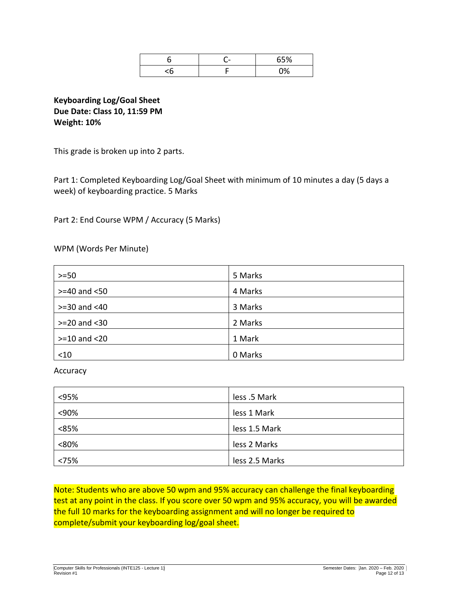| - | CED/ |
|---|------|
|   |      |

**Keyboarding Log/Goal Sheet Due Date: Class 10, 11:59 PM Weight: 10%**

This grade is broken up into 2 parts.

Part 1: Completed Keyboarding Log/Goal Sheet with minimum of 10 minutes a day (5 days a week) of keyboarding practice. 5 Marks

Part 2: End Course WPM / Accuracy (5 Marks)

WPM (Words Per Minute)

| $>=50$             | 5 Marks |
|--------------------|---------|
| $>= 40$ and $< 50$ | 4 Marks |
| $>=$ 30 and $<$ 40 | 3 Marks |
| $>= 20$ and $< 30$ | 2 Marks |
| $>=10$ and $<20$   | 1 Mark  |
| $<$ 10             | 0 Marks |

Accuracy

| < 95% | less .5 Mark   |
|-------|----------------|
| <90%  | less 1 Mark    |
| < 85% | less 1.5 Mark  |
| <80%  | less 2 Marks   |
| < 75% | less 2.5 Marks |

Note: Students who are above 50 wpm and 95% accuracy can challenge the final keyboarding test at any point in the class. If you score over 50 wpm and 95% accuracy, you will be awarded the full 10 marks for the keyboarding assignment and will no longer be required to complete/submit your keyboarding log/goal sheet.